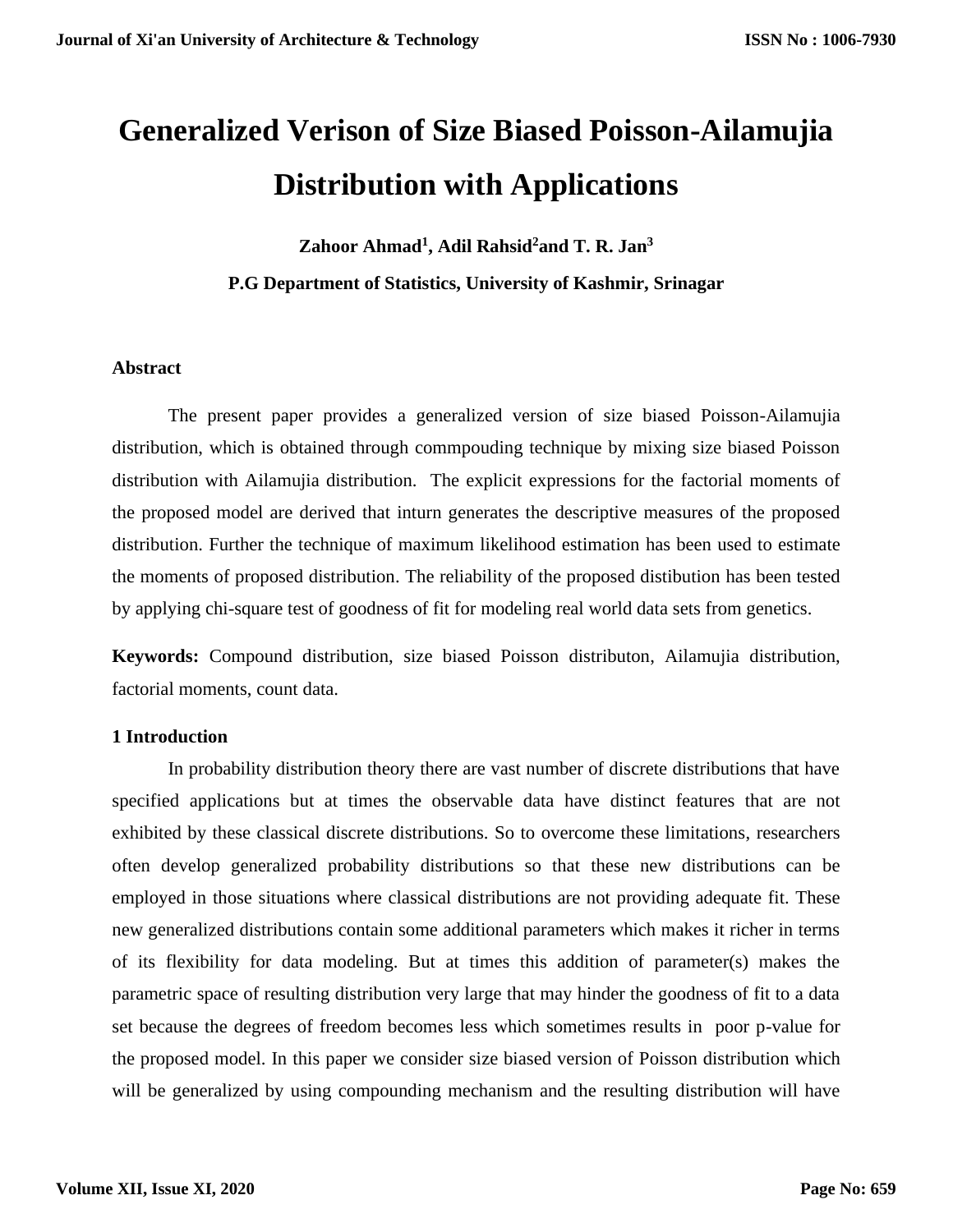# **Generalized Verison of Size Biased Poisson-Ailamujia Distribution with Applications**

**Zahoor Ahmad<sup>1</sup> , Adil Rahsid<sup>2</sup>and T. R. Jan<sup>3</sup>**

**P.G Department of Statistics, University of Kashmir, Srinagar**

# **Abstract**

The present paper provides a generalized version of size biased Poisson-Ailamujia distribution, which is obtained through commpouding technique by mixing size biased Poisson distribution with Ailamujia distribution. The explicit expressions for the factorial moments of the proposed model are derived that inturn generates the descriptive measures of the proposed distribution. Further the technique of maximum likelihood estimation has been used to estimate the moments of proposed distribution. The reliability of the proposed distibution has been tested by applying chi-square test of goodness of fit for modeling real world data sets from genetics.

**Keywords:** Compound distribution, size biased Poisson distributon, Ailamujia distribution, factorial moments, count data.

## **1 Introduction**

In probability distribution theory there are vast number of discrete distributions that have specified applications but at times the observable data have distinct features that are not exhibited by these classical discrete distributions. So to overcome these limitations, researchers often develop generalized probability distributions so that these new distributions can be employed in those situations where classical distributions are not providing adequate fit. These new generalized distributions contain some additional parameters which makes it richer in terms of its flexibility for data modeling. But at times this addition of parameter(s) makes the parametric space of resulting distribution very large that may hinder the goodness of fit to a data set because the degrees of freedom becomes less which sometimes results in poor p-value for the proposed model. In this paper we consider size biased version of Poisson distribution which will be generalized by using compounding mechanism and the resulting distribution will have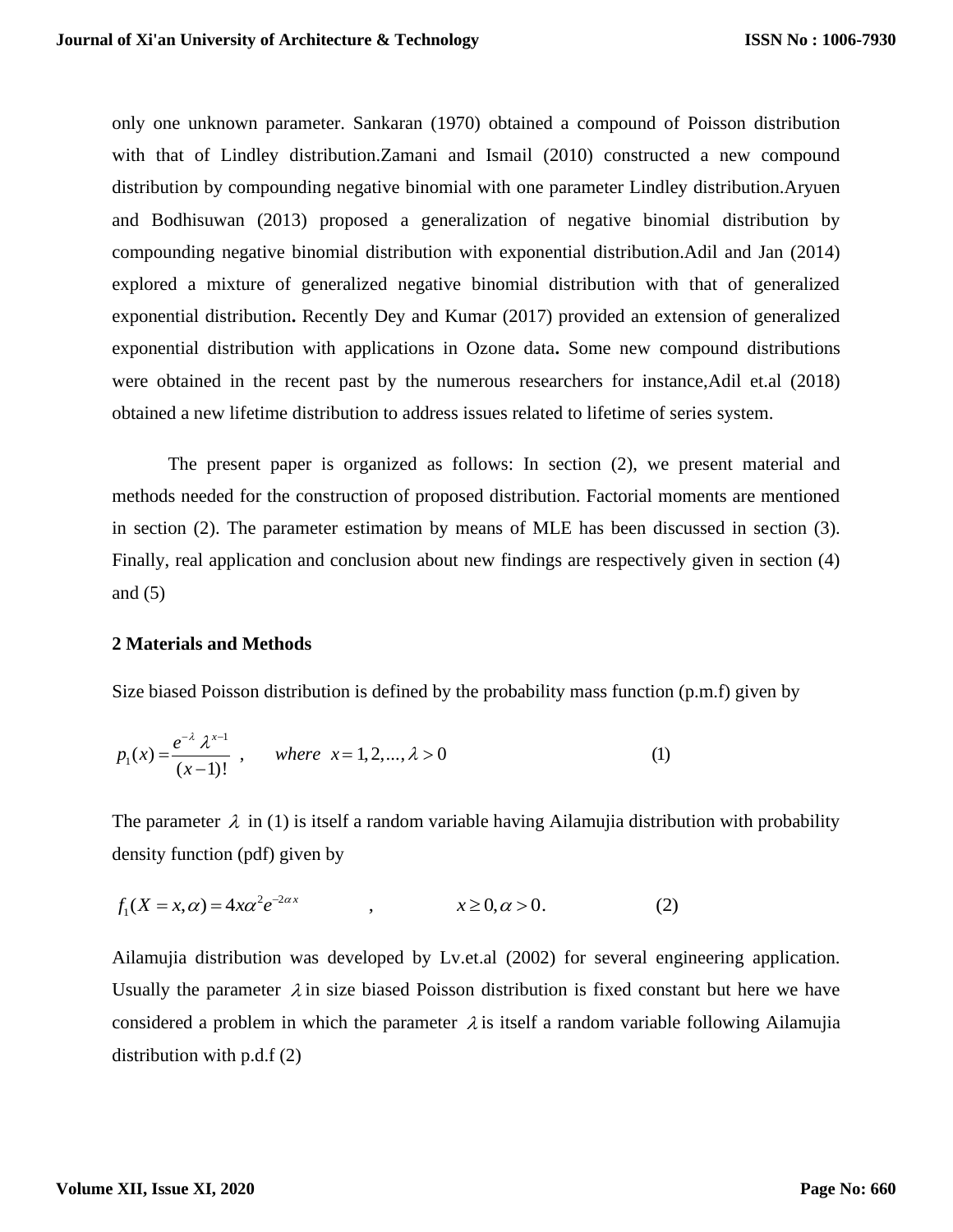only one unknown parameter. Sankaran (1970) obtained a compound of Poisson distribution with that of Lindley distribution.Zamani and Ismail (2010) constructed a new compound distribution by compounding negative binomial with one parameter Lindley distribution.Aryuen and Bodhisuwan (2013) proposed a generalization of negative binomial distribution by compounding negative binomial distribution with exponential distribution.Adil and Jan (2014) explored a mixture of generalized negative binomial distribution with that of generalized exponential distribution**.** Recently Dey and Kumar (2017) provided an extension of generalized exponential distribution with applications in Ozone data**.** Some new compound distributions were obtained in the recent past by the numerous researchers for instance,Adil et.al (2018) obtained a new lifetime distribution to address issues related to lifetime of series system.

The present paper is organized as follows: In section (2), we present material and methods needed for the construction of proposed distribution. Factorial moments are mentioned in section (2). The parameter estimation by means of MLE has been discussed in section (3). Finally, real application and conclusion about new findings are respectively given in section (4) and  $(5)$ 

#### **2 Materials and Methods**

Size biased Poisson distribution is defined by the probability mass function (p.m.f) given by  
\n
$$
p_1(x) = \frac{e^{-\lambda} \lambda^{x-1}}{(x-1)!}, \quad where \quad x = 1, 2, ..., \lambda > 0
$$
\n(1)

The parameter  $\lambda$  in (1) is itself a random variable having Ailamujia distribution with probability msity function (pdf) given by<br>  $(X = x, \alpha) = 4x\alpha^2 e^{-2\alpha x}$ ,  $x \ge 0, \alpha > 0.$  (2) lensity function (pdf) given by<br>  $f_1(X = x, \alpha) = 4x\alpha^2 e^{-2\alpha x}$  ,  $x \ge 0, \alpha > 0$ . y function (pdf) given by<br>  $= x, \alpha$ ) =  $4x\alpha^2 e^{-2\alpha x}$ ,  $x \ge 0, \alpha > 0$ .

density function (pdf) given by  
\n
$$
f_1(X = x, \alpha) = 4x\alpha^2 e^{-2\alpha x}
$$
,  $x \ge 0, \alpha > 0.$  (2)

Ailamujia distribution was developed by Lv.et.al (2002) for several engineering application. Usually the parameter  $\lambda$  in size biased Poisson distribution is fixed constant but here we have considered a problem in which the parameter  $\lambda$  is itself a random variable following Ailamujia distribution with  $p.d.f(2)$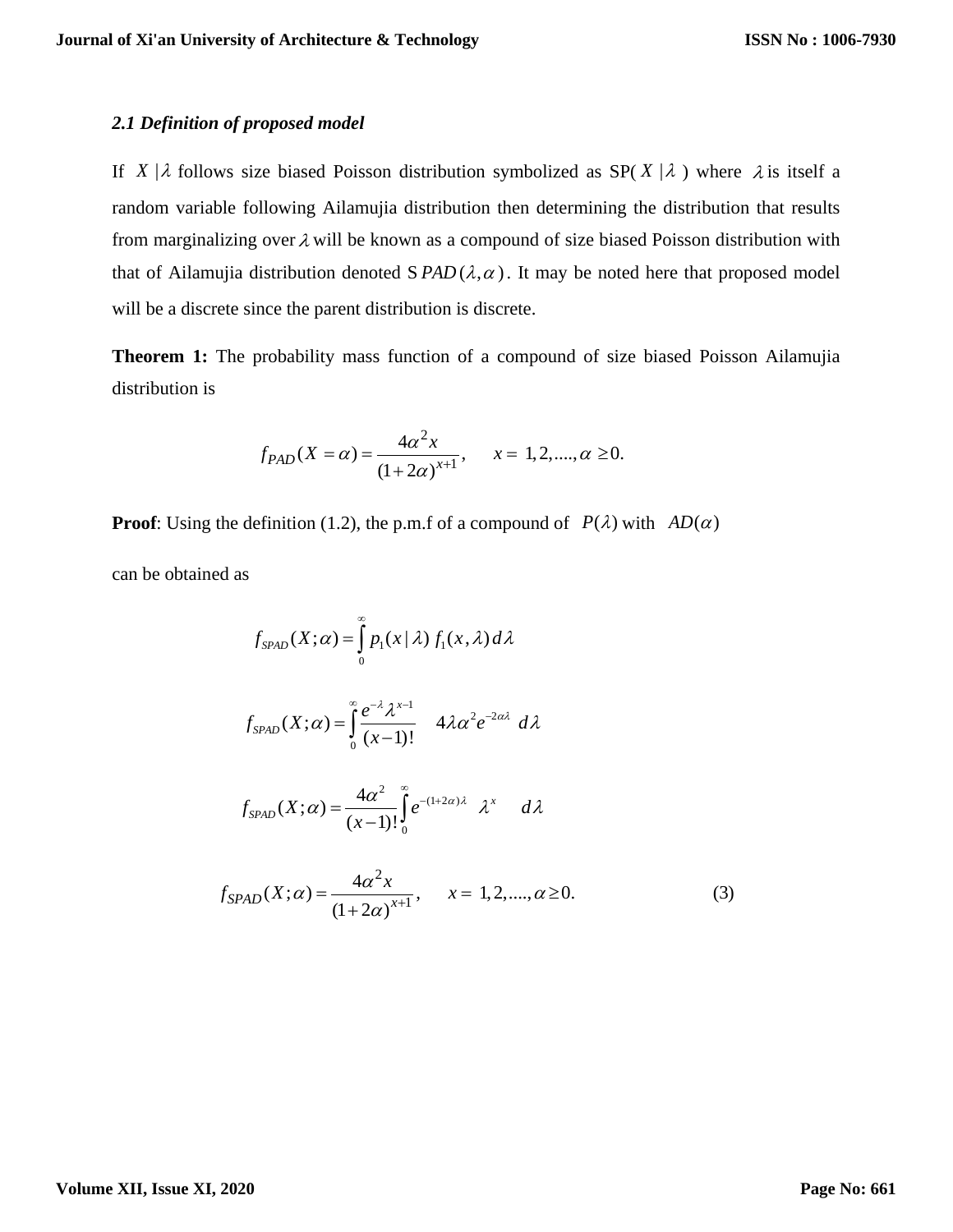#### *2.1 Definition of proposed model*

If  $X | \lambda$  follows size biased Poisson distribution symbolized as SP(X| $\lambda$ ) where  $\lambda$  is itself a random variable following Ailamujia distribution then determining the distribution that results from marginalizing over  $\lambda$  will be known as a compound of size biased Poisson distribution with that of Ailamujia distribution denoted  $S$  *PAD* $(\lambda, \alpha)$ . It may be noted here that proposed model will be a discrete since the parent distribution is discrete.

**Theorem 1:** The probability mass function of a compound of size biased Poisson Ailamujia distribution is

$$
f_{PAD}(X = \alpha) = \frac{4\alpha^2 x}{(1 + 2\alpha)^{x+1}}, \quad x = 1, 2, \dots, \alpha \ge 0.
$$

**Proof**: Using the definition (1.2), the p.m.f of a compound of  $P(\lambda)$  with  $AD(\alpha)$ 

can be obtained as

$$
f_{SPAD}(X; \alpha) = \int_{0}^{\infty} p_1(x | \lambda) f_1(x, \lambda) d\lambda
$$
  

$$
f_{SPAD}(X; \alpha) = \int_{0}^{\infty} \frac{e^{-\lambda} \lambda^{x-1}}{(x-1)!} 4\lambda \alpha^2 e^{-2\alpha \lambda} d\lambda
$$
  

$$
f_{SPAD}(X; \alpha) = \frac{4\alpha^2}{(x-1)!} \int_{0}^{\infty} e^{-(1+2\alpha)\lambda} \lambda^x d\lambda
$$
  

$$
f_{SPAD}(X; \alpha) = \frac{4\alpha^2 x}{(1+2\alpha)^{x+1}}, \quad x = 1, 2, ..., \alpha \ge 0.
$$
 (3)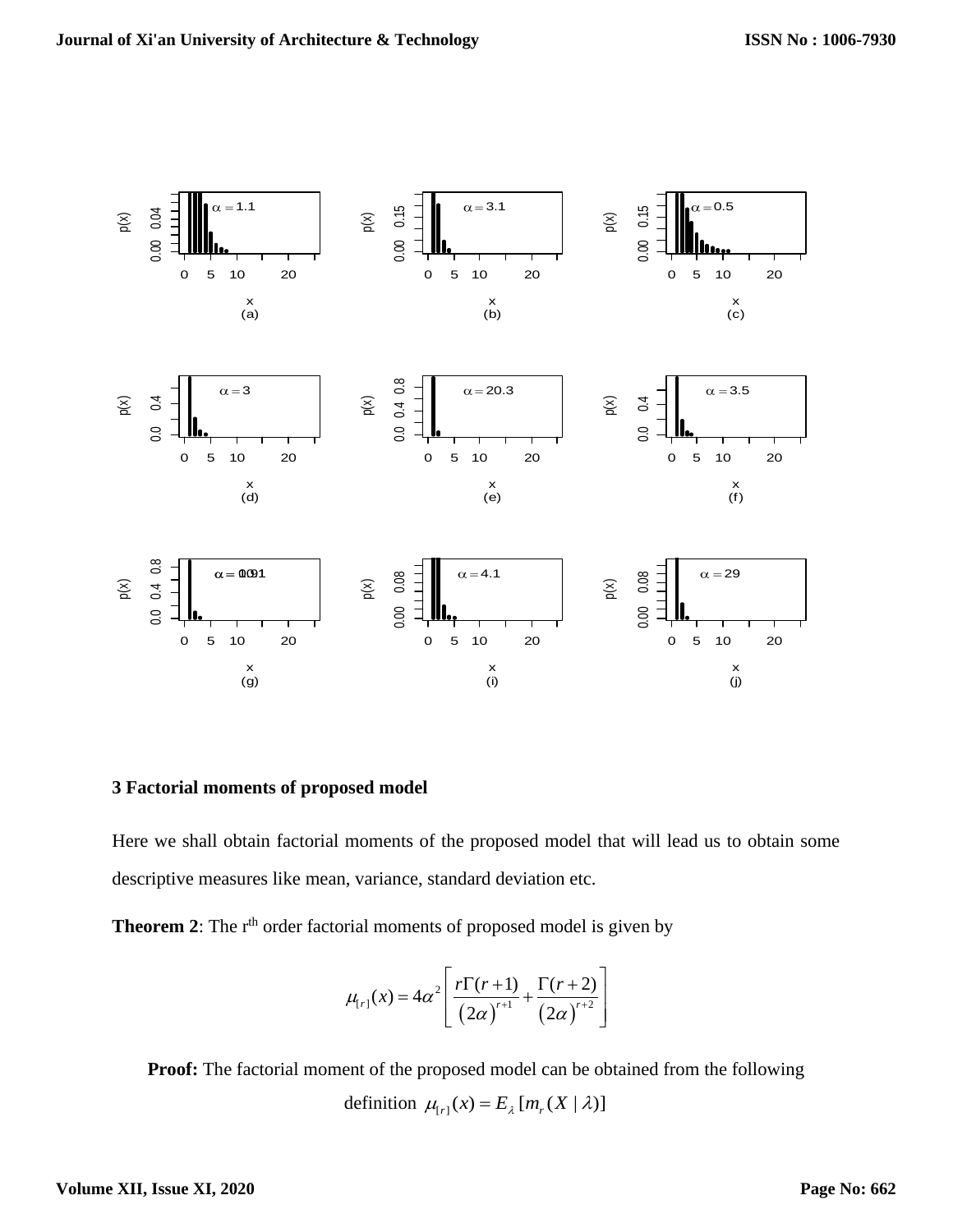

# **3 Factorial moments of proposed model**

Here we shall obtain factorial moments of the proposed model that will lead us to obtain some descriptive measures like mean, variance, standard deviation etc.

**Theorem 2**: The r<sup>th</sup> order factorial moments of proposed model is given by

$$
\mu_{[r]}(x) = 4\alpha^2 \left[ \frac{r\Gamma(r+1)}{(2\alpha)^{r+1}} + \frac{\Gamma(r+2)}{(2\alpha)^{r+2}} \right]
$$

**Proof:** The factorial moment of the proposed model can be obtained from the following definition  $\mu_{[r]}(x) = E_{\lambda}[m_r(X | \lambda)]$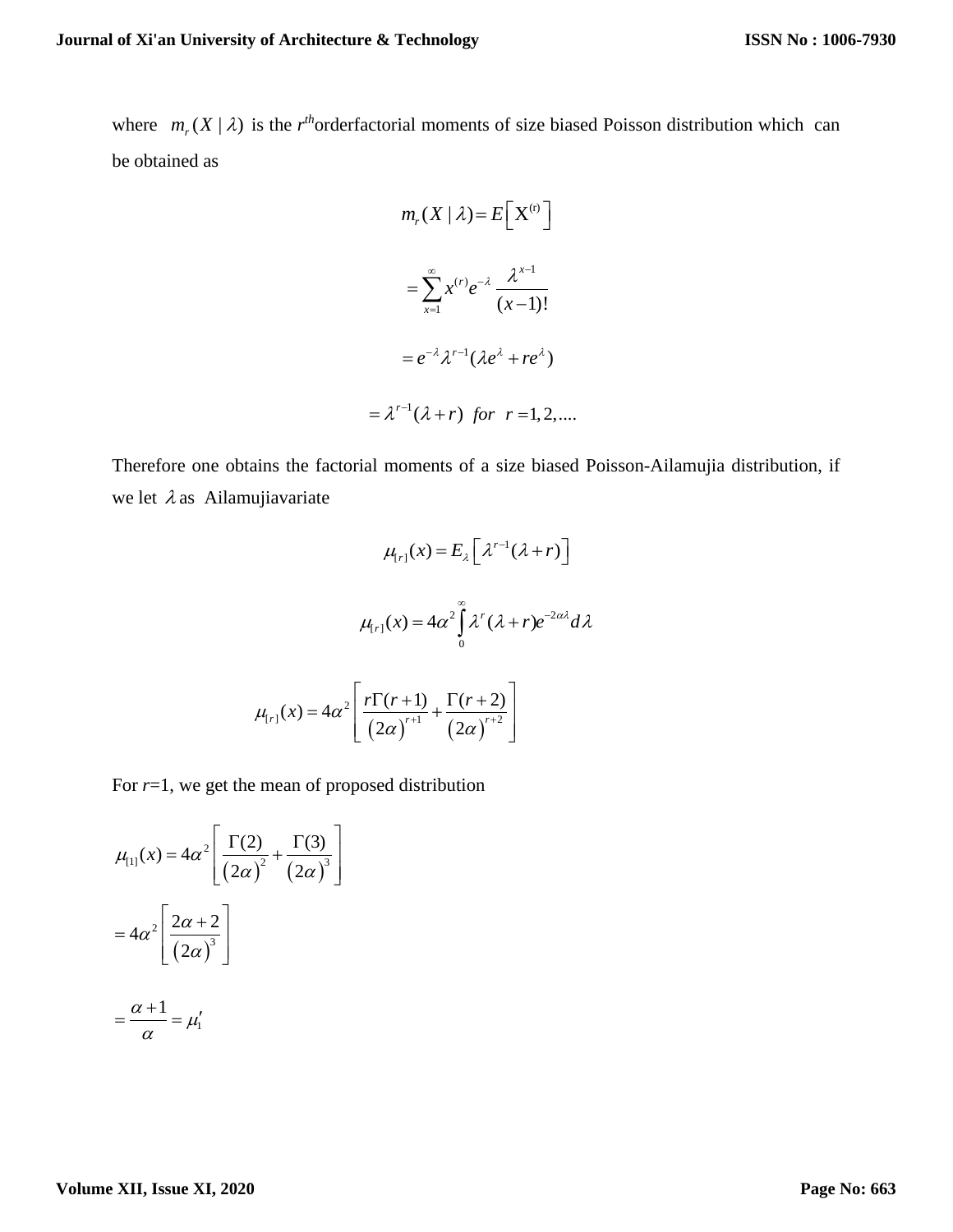where  $m_r(X | \lambda)$  is the *r*<sup>th</sup>orderfactorial moments of size biased Poisson distribution which can be obtained as

$$
m_r(X | \lambda) = E\left[X^{(r)}\right]
$$

$$
= \sum_{x=1}^{\infty} x^{(r)} e^{-\lambda} \frac{\lambda^{x-1}}{(x-1)!}
$$

$$
= e^{-\lambda} \lambda^{r-1} (\lambda e^{\lambda} + re^{\lambda})
$$

$$
= \lambda^{r-1} (\lambda + r) \text{ for } r = 1, 2, ...
$$

Therefore one obtains the factorial moments of a size biased Poisson-Ailamujia distribution, if we let  $\lambda$  as Ailamujiavariate

$$
\mu_{r}(\mathbf{x}) = E_{\lambda} \left[ \lambda^{r-1} (\lambda + r) \right]
$$

$$
\mu_{r}(\mathbf{x}) = 4\alpha^2 \int_0^{\infty} \lambda^r (\lambda + r) e^{-2\alpha \lambda} d\lambda
$$

$$
\mu_{r}(\mathbf{x}) = 4\alpha^2 \left[ \frac{r \Gamma(r+1)}{\left(2\alpha\right)^{r+1}} + \frac{\Gamma(r+2)}{\left(2\alpha\right)^{r+2}} \right]
$$

 $(2\alpha)^{n+1}$   $(2\alpha)^n$ 

For *r*=1, we get the mean of proposed distribution

$$
\mu_{[1]}(x) = 4\alpha^2 \left[ \frac{\Gamma(2)}{(2\alpha)^2} + \frac{\Gamma(3)}{(2\alpha)^3} \right]
$$

$$
= 4\alpha^2 \left[ \frac{2\alpha + 2}{(2\alpha)^3} \right]
$$

$$
= \frac{\alpha + 1}{\alpha} = \mu'_1
$$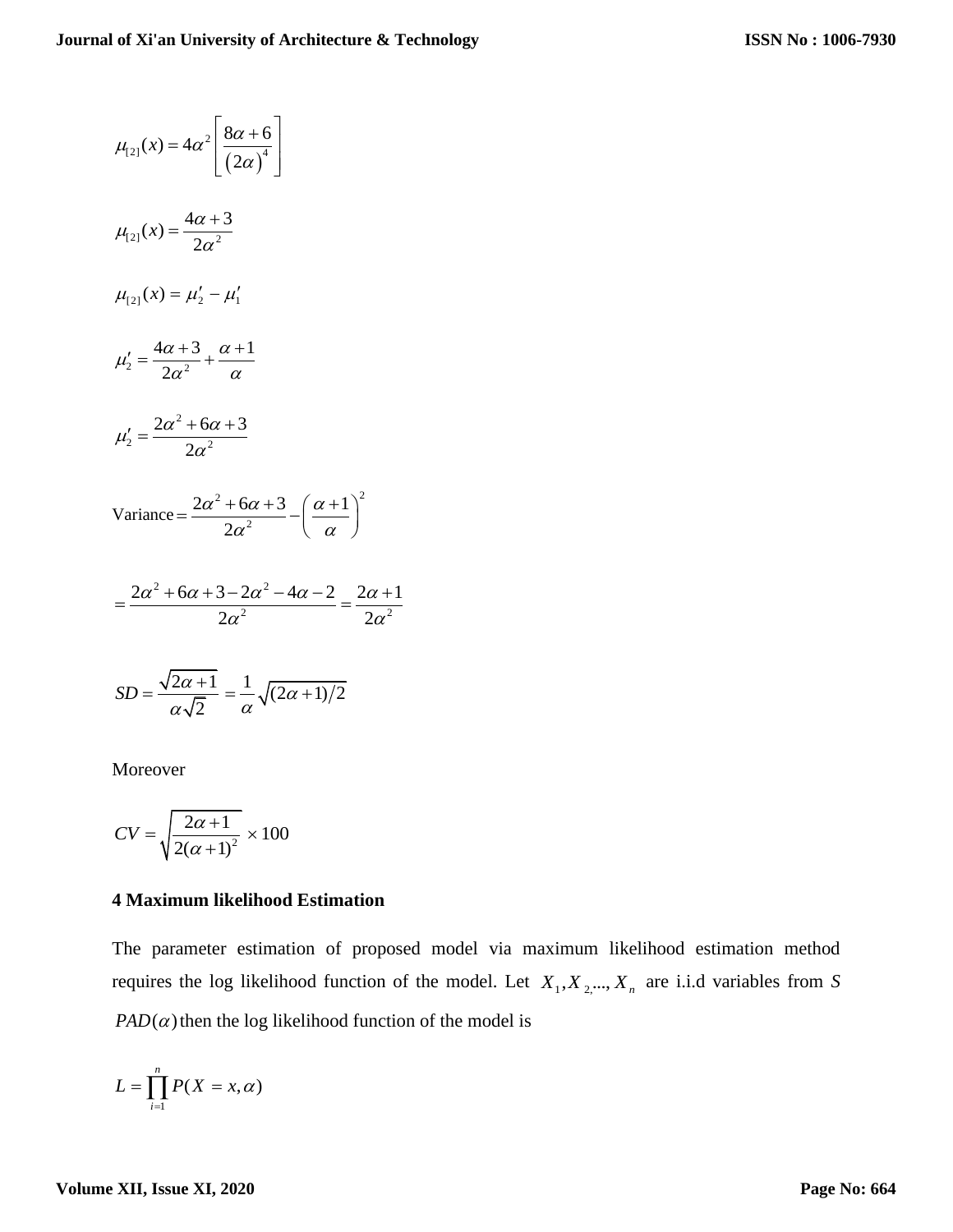$$
\mu_{[2]}(x) = 4\alpha^2 \left[ \frac{8\alpha + 6}{(2\alpha)^4} \right]
$$
  
\n
$$
\mu_{[2]}(x) = \frac{4\alpha + 3}{2\alpha^2}
$$
  
\n
$$
\mu_{[2]}(x) = \mu'_2 - \mu'_1
$$
  
\n
$$
\mu'_2 = \frac{4\alpha + 3}{2\alpha^2} + \frac{\alpha + 1}{\alpha}
$$
  
\n
$$
\mu'_2 = \frac{2\alpha^2 + 6\alpha + 3}{2\alpha^2}
$$
  
\nVariance = 
$$
\frac{2\alpha^2 + 6\alpha + 3}{2\alpha^2} - \left(\frac{\alpha + 1}{\alpha}\right)^2
$$
  
\n
$$
= \frac{2\alpha^2 + 6\alpha + 3 - 2\alpha^2 - 4\alpha - 2}{2\alpha^2} = \frac{2\alpha + 1}{2\alpha^2}
$$

$$
SD = \frac{\sqrt{2\alpha + 1}}{\alpha\sqrt{2}} = \frac{1}{\alpha}\sqrt{(2\alpha + 1)/2}
$$

Moreover

$$
CV = \sqrt{\frac{2\alpha + 1}{2(\alpha + 1)^2}} \times 100
$$

#### **4 Maximum likelihood Estimation**

The parameter estimation of proposed model via maximum likelihood estimation method requires the log likelihood function of the model. Let  $X_1, X_2, ..., X_n$  are i.i.d variables from *S*  $PAD(\alpha)$  then the log likelihood function of the model is

$$
L=\prod_{i=1}^n P(X=x,\alpha)
$$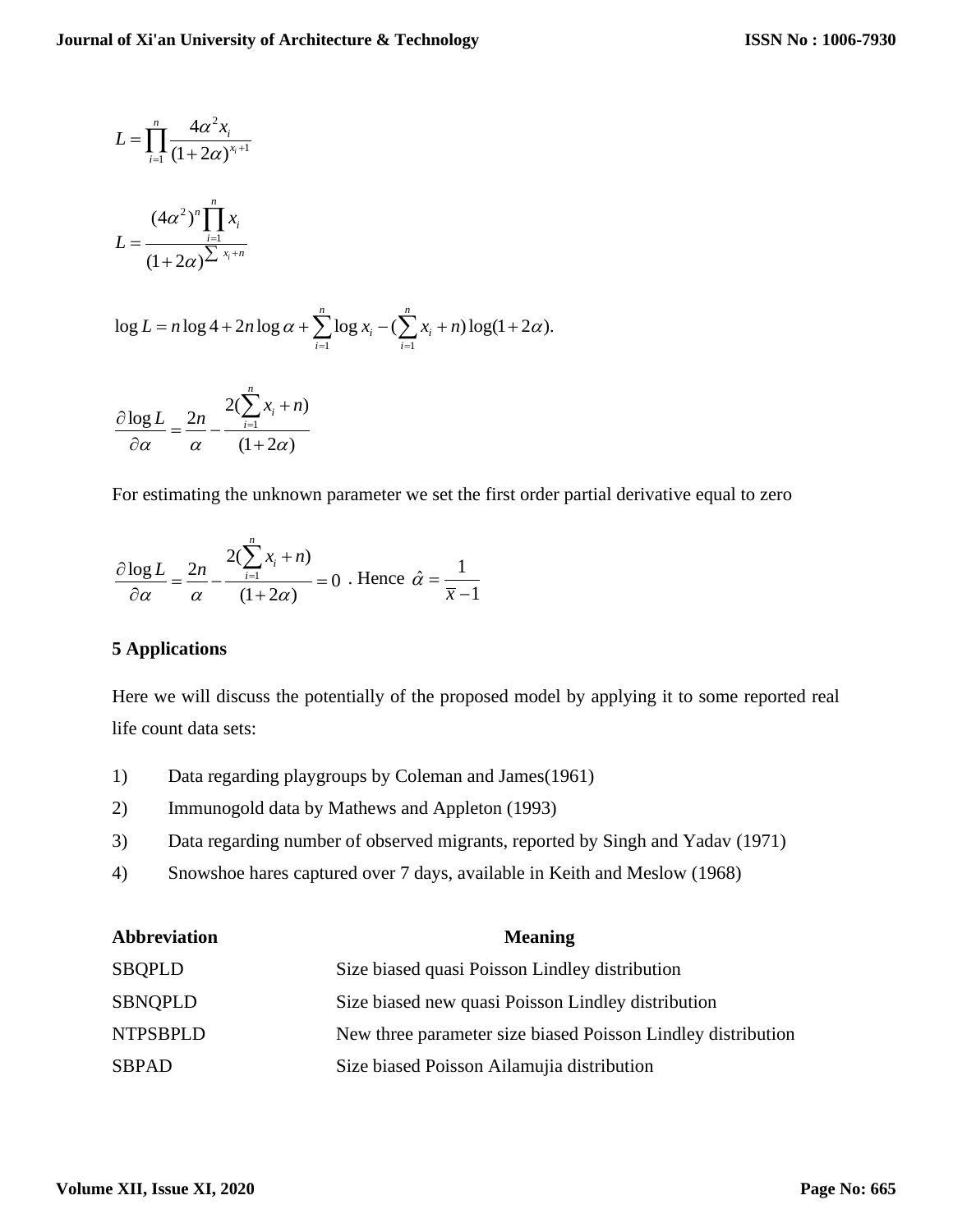$$
L = \prod_{i=1}^{n} \frac{4\alpha^2 x_i}{(1 + 2\alpha)^{x_i + 1}}
$$

$$
L = \frac{(4\alpha^2)^n \prod_{i=1}^{n} x_i}{(1 + 2\alpha)^{\sum_{i=1}^{n} x_i + n}}
$$

$$
L = \frac{1}{(1+2\alpha)^{\sum x_i + n}}
$$
  
log  $L = n \log 4 + 2n \log \alpha + \sum_{i=1}^{n} \log x_i - (\sum_{i=1}^{n} x_i + n) \log(1 + 2\alpha).$ 

$$
\frac{\partial \log L}{\partial \alpha} = \frac{2n}{\alpha} - \frac{2(\sum_{i=1}^{n} x_i + n)}{(1 + 2\alpha)}
$$

For estimating the unknown parameter we set the first order partial derivative equal to zero

$$
\frac{\partial \log L}{\partial \alpha} = \frac{2n}{\alpha} - \frac{2(\sum_{i=1}^{n} x_i + n)}{(1 + 2\alpha)} = 0
$$
. Hence  $\hat{\alpha} = \frac{1}{\overline{x} - 1}$ 

## **5 Applications**

Here we will discuss the potentially of the proposed model by applying it to some reported real life count data sets:

- 1) Data regarding playgroups by Coleman and James(1961)
- 2) Immunogold data by Mathews and Appleton (1993)
- 3) Data regarding number of observed migrants, reported by Singh and Yadav (1971)
- 4) Snowshoe hares captured over 7 days, available in Keith and Meslow (1968)

| Abbreviation    | <b>Meaning</b>                                               |  |  |
|-----------------|--------------------------------------------------------------|--|--|
| <b>SBQPLD</b>   | Size biased quasi Poisson Lindley distribution               |  |  |
| <b>SBNOPLD</b>  | Size biased new quasi Poisson Lindley distribution           |  |  |
| <b>NTPSBPLD</b> | New three parameter size biased Poisson Lindley distribution |  |  |
| <b>SBPAD</b>    | Size biased Poisson Ailamujia distribution                   |  |  |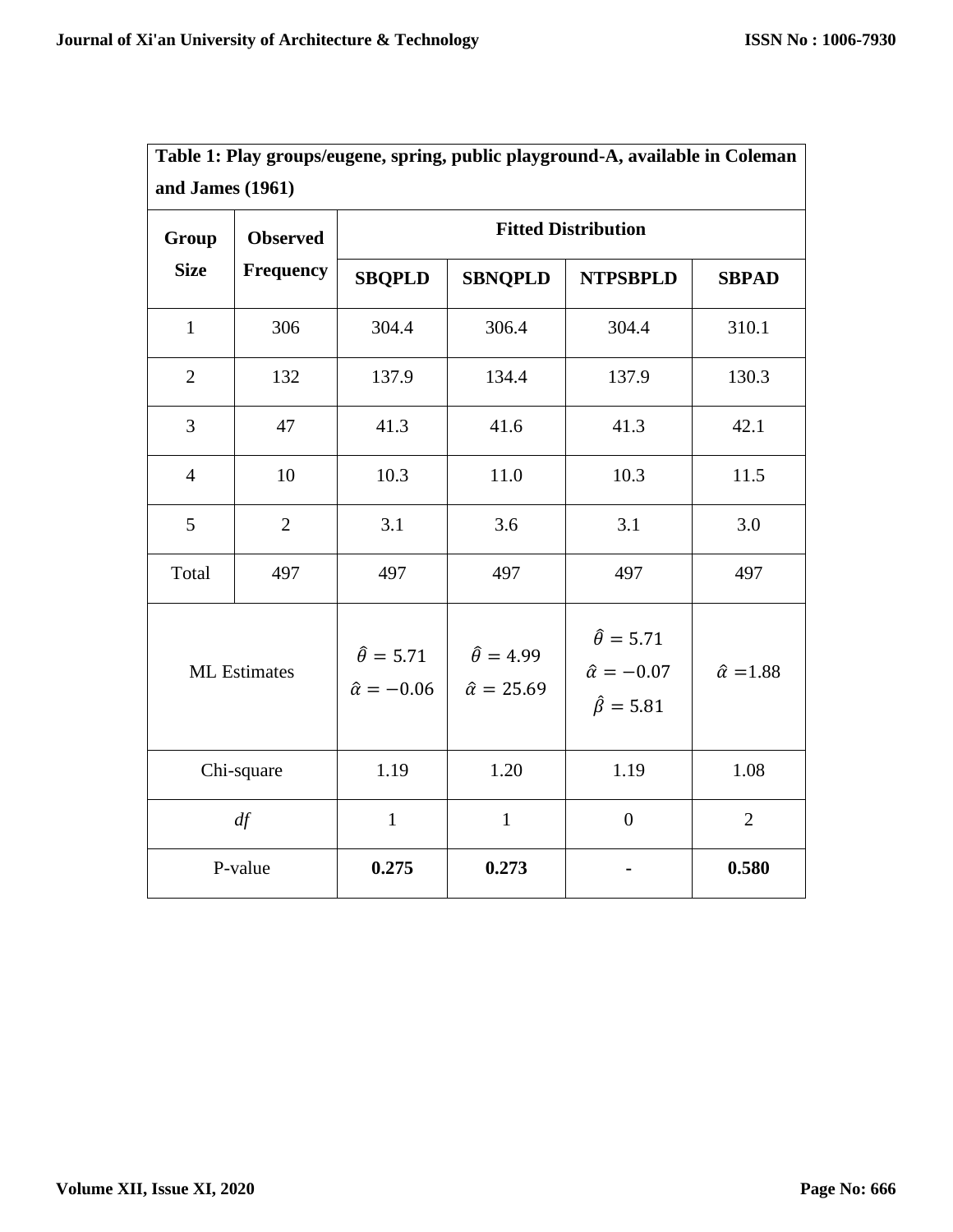| and James (1961)    |                 |                                                 |                                                 |                                                                         |                       |  |
|---------------------|-----------------|-------------------------------------------------|-------------------------------------------------|-------------------------------------------------------------------------|-----------------------|--|
| Group               | <b>Observed</b> | <b>Fitted Distribution</b>                      |                                                 |                                                                         |                       |  |
| <b>Size</b>         | Frequency       | <b>SBQPLD</b>                                   | <b>SBNQPLD</b>                                  | <b>NTPSBPLD</b>                                                         | <b>SBPAD</b>          |  |
| $\mathbf{1}$        | 306             | 304.4                                           | 306.4                                           | 304.4                                                                   | 310.1                 |  |
| $\overline{2}$      | 132             | 137.9                                           | 134.4                                           | 137.9                                                                   | 130.3                 |  |
| 3                   | 47              | 41.3                                            | 41.6                                            | 41.3                                                                    | 42.1                  |  |
| $\overline{4}$      | 10              | 10.3                                            | 11.0                                            | 10.3                                                                    | 11.5                  |  |
| 5                   | $\overline{2}$  | 3.1                                             | 3.6                                             | 3.1                                                                     | 3.0                   |  |
| Total               | 497             | 497                                             | 497                                             | 497                                                                     | 497                   |  |
| <b>ML</b> Estimates |                 | $\hat{\theta} = 5.71$<br>$\hat{\alpha} = -0.06$ | $\hat{\theta} = 4.99$<br>$\hat{\alpha} = 25.69$ | $\hat{\theta} = 5.71$<br>$\hat{\alpha} = -0.07$<br>$\hat{\beta} = 5.81$ | $\hat{\alpha} = 1.88$ |  |
| Chi-square          |                 | 1.19                                            | 1.20                                            | 1.19                                                                    | 1.08                  |  |
| df                  |                 | $\mathbf{1}$                                    | $\mathbf{1}$                                    | $\overline{0}$                                                          | $\overline{2}$        |  |
| P-value             |                 | 0.275                                           | 0.273                                           |                                                                         | 0.580                 |  |

**Table 1: Play groups/eugene, spring, public playground-A, available in Coleman**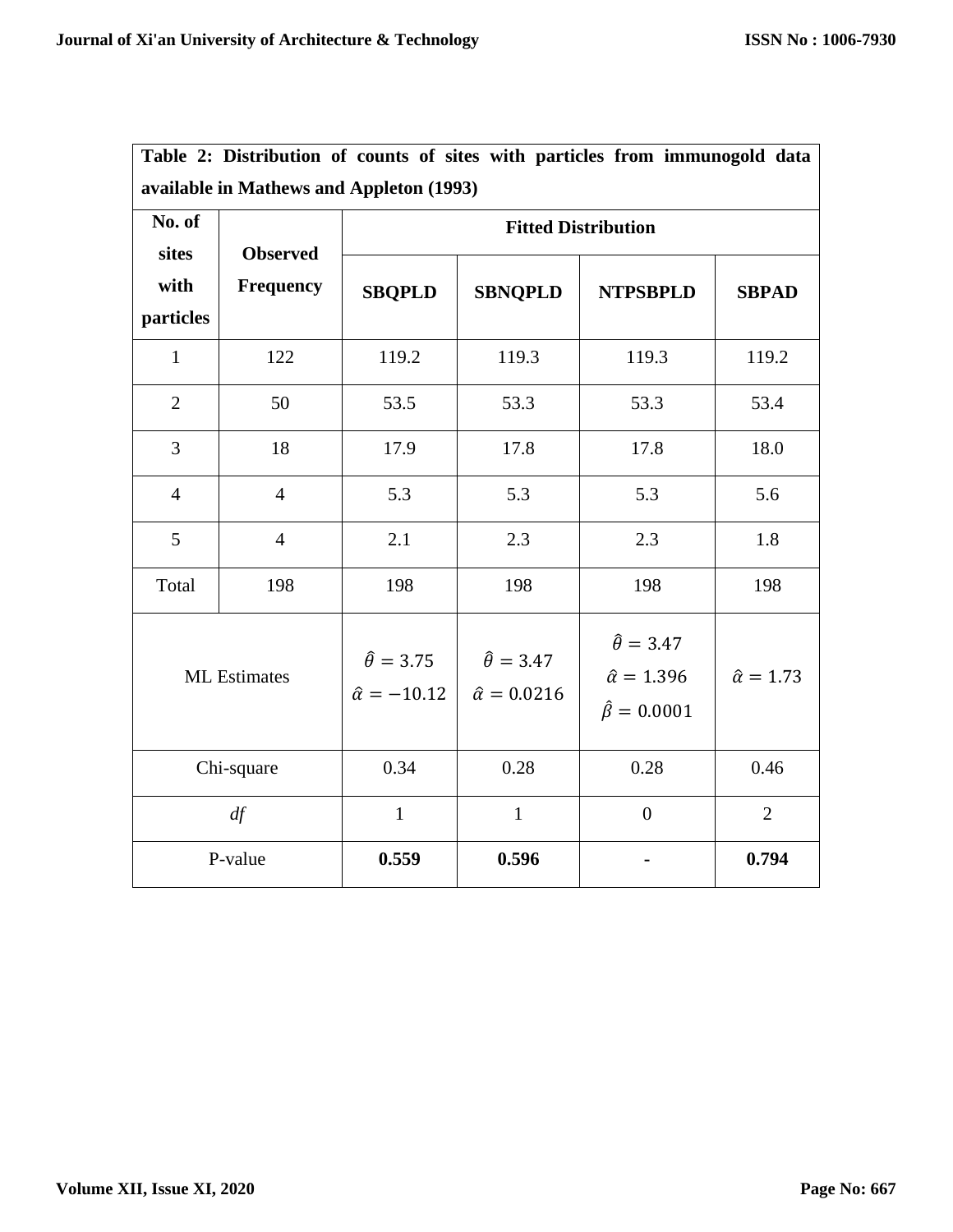| No. of<br>sites<br>with<br>particles | <b>Observed</b><br>Frequency | <b>Fitted Distribution</b>                       |                                                  |                                                                           |                       |  |
|--------------------------------------|------------------------------|--------------------------------------------------|--------------------------------------------------|---------------------------------------------------------------------------|-----------------------|--|
|                                      |                              | <b>SBQPLD</b>                                    | <b>SBNQPLD</b>                                   | <b>NTPSBPLD</b>                                                           | <b>SBPAD</b>          |  |
| $\mathbf{1}$                         | 122                          | 119.2                                            | 119.3                                            | 119.3                                                                     | 119.2                 |  |
| $\overline{2}$                       | 50                           | 53.5                                             | 53.3                                             | 53.3                                                                      | 53.4                  |  |
| $\overline{3}$                       | 18                           | 17.9                                             | 17.8                                             | 17.8                                                                      | 18.0                  |  |
| $\overline{4}$                       | $\overline{4}$               | 5.3                                              | 5.3                                              | 5.3                                                                       | 5.6                   |  |
| 5                                    | $\overline{4}$               | 2.1                                              | 2.3                                              | 2.3                                                                       | 1.8                   |  |
| Total                                | 198                          | 198                                              | 198                                              | 198                                                                       | 198                   |  |
| <b>ML</b> Estimates                  |                              | $\hat{\theta} = 3.75$<br>$\hat{\alpha} = -10.12$ | $\hat{\theta} = 3.47$<br>$\hat{\alpha} = 0.0216$ | $\hat{\theta} = 3.47$<br>$\hat{\alpha} = 1.396$<br>$\hat{\beta} = 0.0001$ | $\hat{\alpha} = 1.73$ |  |
| Chi-square                           |                              | 0.34                                             | 0.28                                             | 0.28                                                                      | 0.46                  |  |
| df                                   |                              | $\mathbf{1}$                                     | $\mathbf{1}$                                     | $\boldsymbol{0}$                                                          | $\overline{2}$        |  |
| P-value                              |                              | 0.559                                            | 0.596                                            |                                                                           | 0.794                 |  |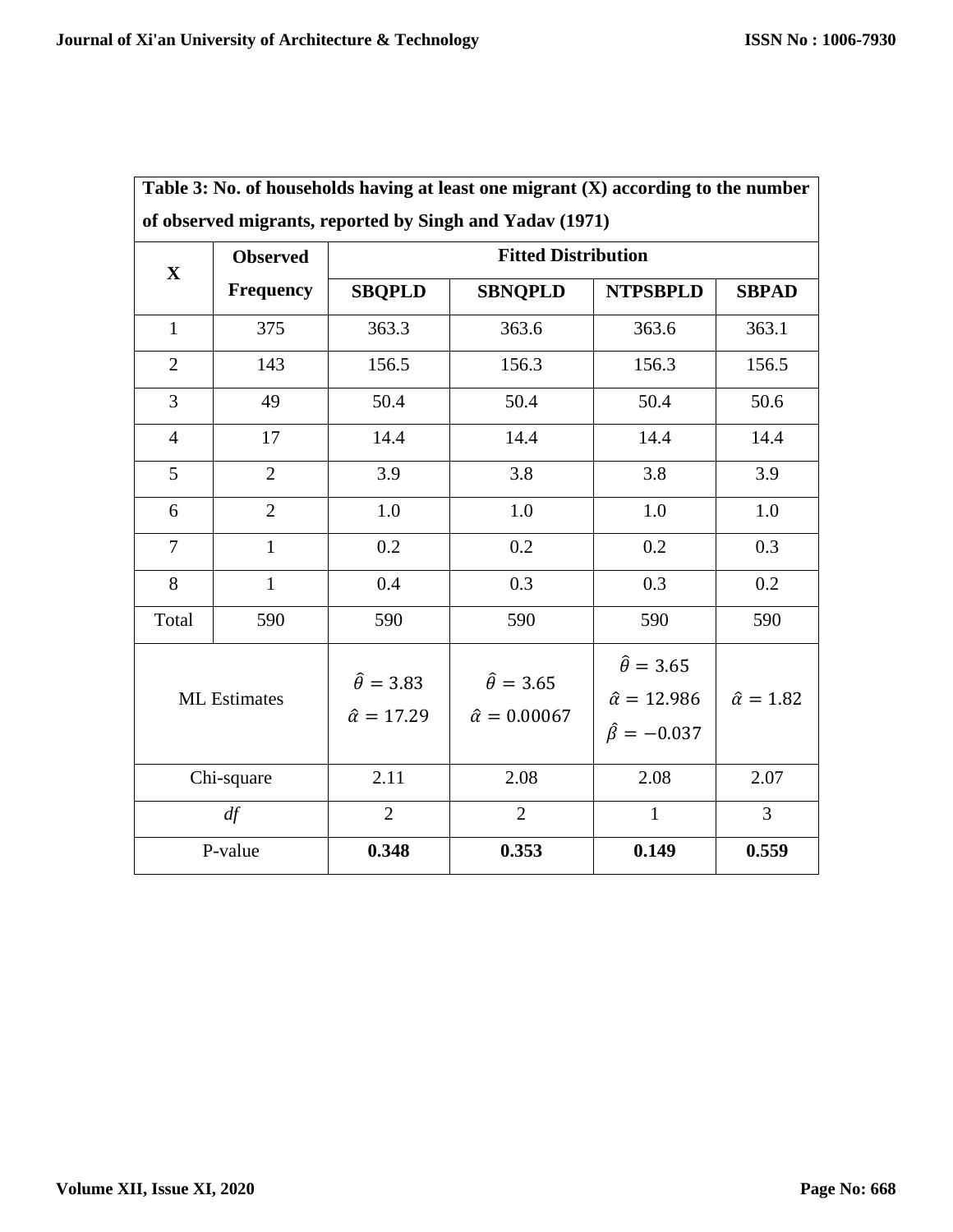|                     | <b>Observed</b> | of observed migrants, reported by Singh and Yadav (1971)<br><b>Fitted Distribution</b> |                                                   |                                                                            |                       |  |
|---------------------|-----------------|----------------------------------------------------------------------------------------|---------------------------------------------------|----------------------------------------------------------------------------|-----------------------|--|
| $\mathbf X$         | Frequency       | <b>SBQPLD</b>                                                                          | <b>SBNQPLD</b>                                    | <b>NTPSBPLD</b>                                                            | <b>SBPAD</b>          |  |
| $\mathbf{1}$        | 375             | 363.3                                                                                  | 363.6                                             | 363.6                                                                      | 363.1                 |  |
| $\overline{2}$      | 143             | 156.5                                                                                  | 156.3                                             | 156.3                                                                      | 156.5                 |  |
| 3                   | 49              | 50.4                                                                                   | 50.4                                              | 50.4                                                                       | 50.6                  |  |
| $\overline{4}$      | 17              | 14.4                                                                                   | 14.4                                              | 14.4                                                                       | 14.4                  |  |
| 5                   | $\overline{2}$  | 3.9                                                                                    | 3.8                                               | 3.8                                                                        | 3.9                   |  |
| 6                   | $\overline{2}$  | 1.0                                                                                    | $1.0\,$                                           | 1.0                                                                        | 1.0                   |  |
| $\overline{7}$      | $\mathbf{1}$    | 0.2                                                                                    | 0.2                                               | 0.2                                                                        | 0.3                   |  |
| 8                   | $\mathbf{1}$    | 0.4                                                                                    | 0.3                                               | 0.3                                                                        | 0.2                   |  |
| Total               | 590             | 590                                                                                    | 590                                               | 590                                                                        | 590                   |  |
| <b>ML</b> Estimates |                 | $\hat{\theta} = 3.83$<br>$\hat{\alpha} = 17.29$                                        | $\hat{\theta} = 3.65$<br>$\hat{\alpha} = 0.00067$ | $\hat{\theta} = 3.65$<br>$\hat{\alpha} = 12.986$<br>$\hat{\beta} = -0.037$ | $\hat{\alpha} = 1.82$ |  |
| Chi-square          |                 | 2.11                                                                                   | 2.08                                              | 2.08                                                                       | 2.07                  |  |
| df                  |                 | $\overline{2}$                                                                         | $\overline{2}$                                    | $\mathbf{1}$                                                               | $\overline{3}$        |  |
| P-value             |                 | 0.348                                                                                  | 0.353                                             | 0.149                                                                      | 0.559                 |  |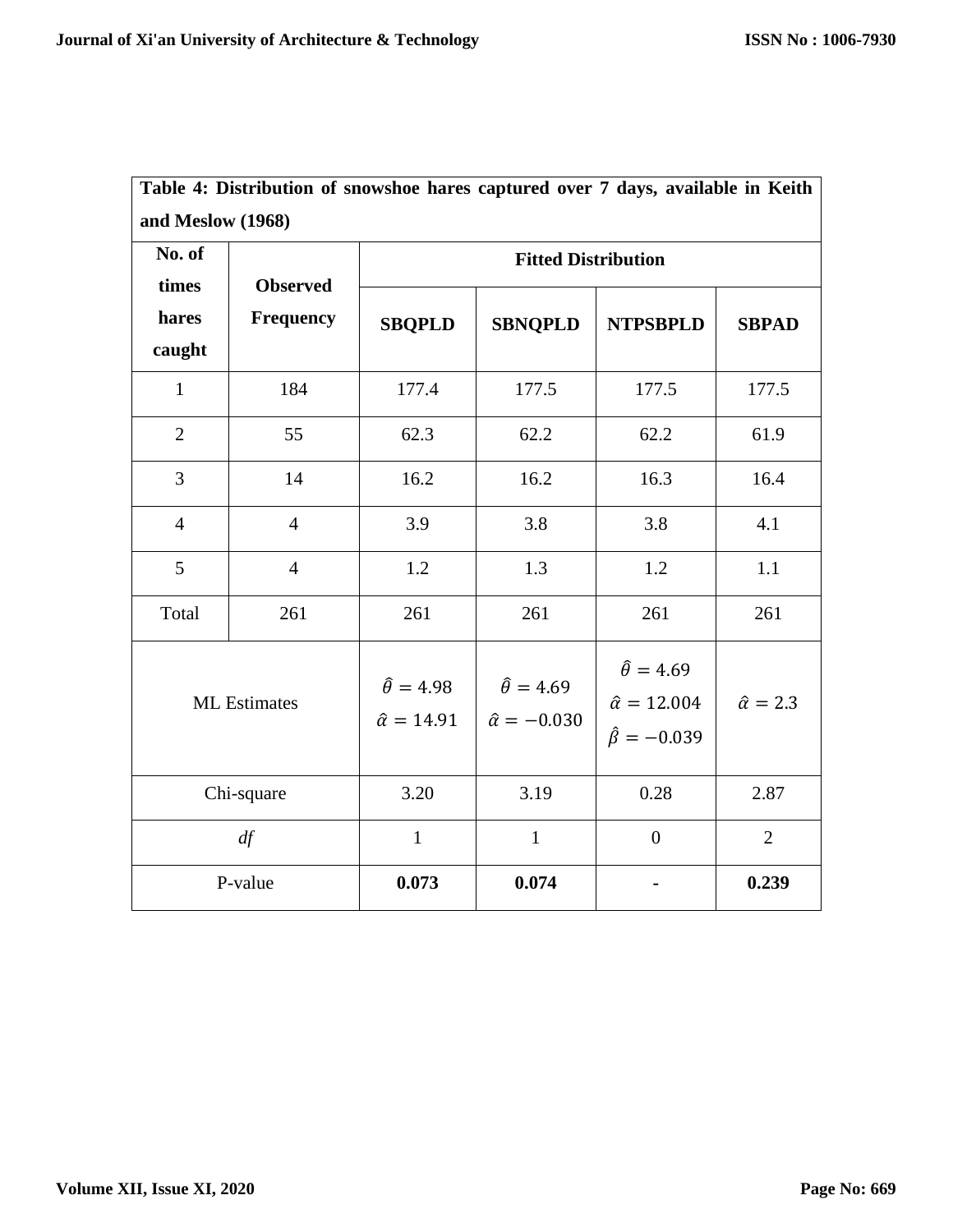r

| Table 4: Distribution of snowshoe hares captured over 7 days, available in Keith<br>and Meslow (1968) |                |                                                 |                                                  |                                                                            |                      |
|-------------------------------------------------------------------------------------------------------|----------------|-------------------------------------------------|--------------------------------------------------|----------------------------------------------------------------------------|----------------------|
|                                                                                                       |                |                                                 |                                                  |                                                                            |                      |
| hares<br>caught                                                                                       | <b>SBQPLD</b>  | <b>SBNQPLD</b>                                  | <b>NTPSBPLD</b>                                  | <b>SBPAD</b>                                                               |                      |
| $\mathbf{1}$                                                                                          | 184            | 177.4                                           | 177.5                                            | 177.5                                                                      | 177.5                |
| $\overline{2}$                                                                                        | 55             | 62.3                                            | 62.2                                             | 62.2                                                                       | 61.9                 |
| $\overline{3}$                                                                                        | 14             | 16.2                                            | 16.2                                             | 16.3                                                                       | 16.4                 |
| $\overline{4}$                                                                                        | $\overline{4}$ | 3.9                                             | 3.8                                              | 3.8                                                                        | 4.1                  |
| 5                                                                                                     | $\overline{4}$ | 1.2                                             | 1.3                                              | 1.2                                                                        | 1.1                  |
| Total                                                                                                 | 261            | 261                                             | 261                                              | 261                                                                        | 261                  |
| <b>ML</b> Estimates                                                                                   |                | $\hat{\theta} = 4.98$<br>$\hat{\alpha} = 14.91$ | $\hat{\theta} = 4.69$<br>$\hat{\alpha} = -0.030$ | $\hat{\theta} = 4.69$<br>$\hat{\alpha} = 12.004$<br>$\hat{\beta} = -0.039$ | $\hat{\alpha} = 2.3$ |
| Chi-square                                                                                            |                | 3.20                                            | 3.19                                             | 0.28                                                                       | 2.87                 |
| df                                                                                                    |                | $\mathbf{1}$                                    | $\mathbf{1}$                                     | $\overline{0}$                                                             | $\overline{2}$       |
| P-value                                                                                               |                | 0.073                                           | 0.074                                            |                                                                            | 0.239                |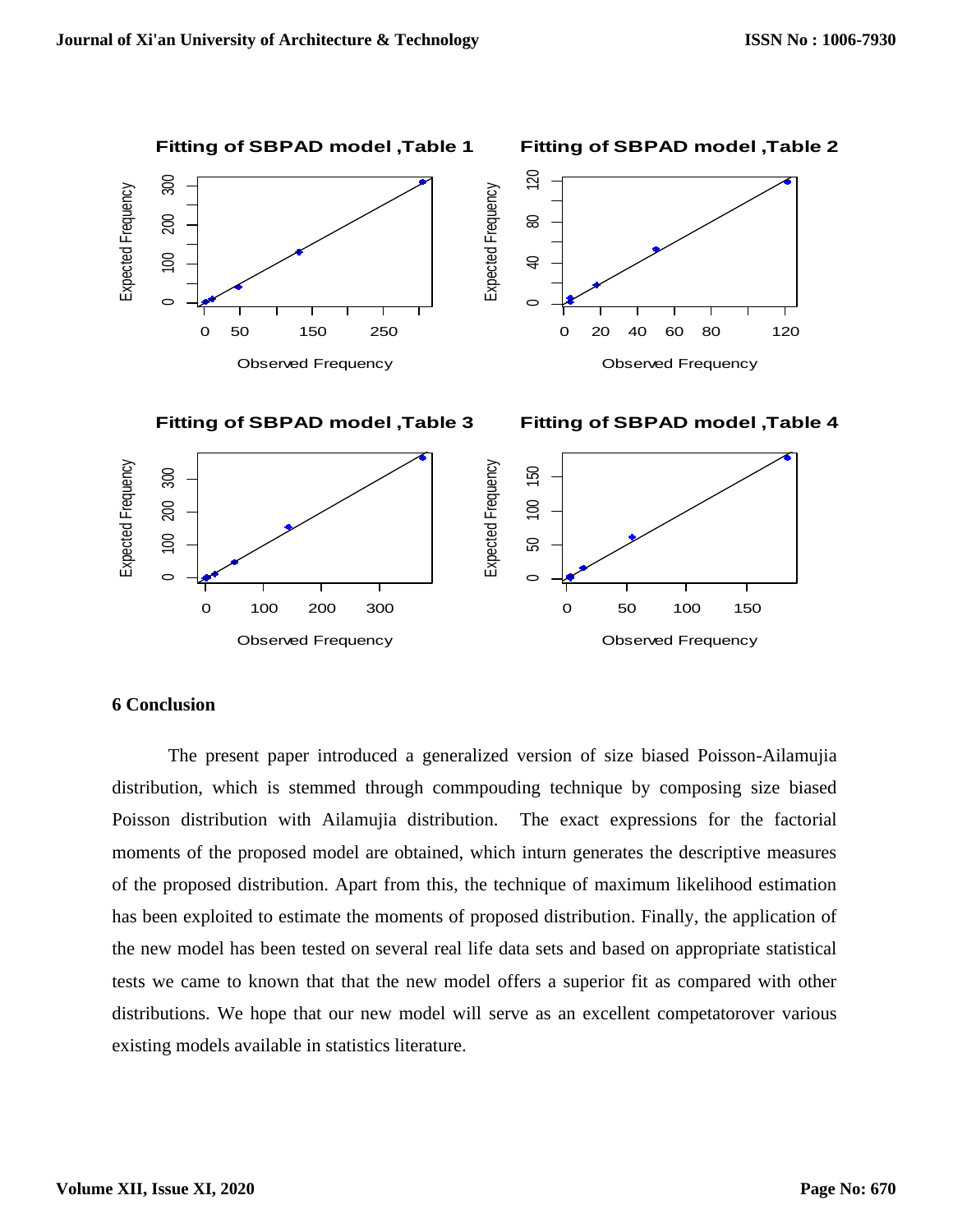

## **6 Conclusion**

The present paper introduced a generalized version of size biased Poisson-Ailamujia distribution, which is stemmed through commpouding technique by composing size biased Poisson distribution with Ailamujia distribution. The exact expressions for the factorial moments of the proposed model are obtained, which inturn generates the descriptive measures of the proposed distribution. Apart from this, the technique of maximum likelihood estimation has been exploited to estimate the moments of proposed distribution. Finally, the application of the new model has been tested on several real life data sets and based on appropriate statistical tests we came to known that that the new model offers a superior fit as compared with other distributions. We hope that our new model will serve as an excellent competatorover various existing models available in statistics literature.